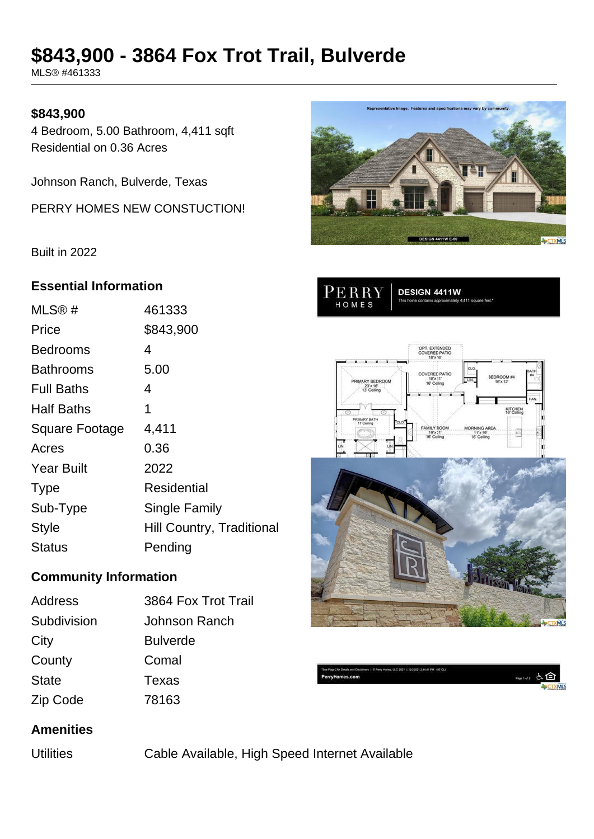# **\$843,900 - 3864 Fox Trot Trail, Bulverde**

MLS® #461333

### **\$843,900**

4 Bedroom, 5.00 Bathroom, 4,411 sqft Residential on 0.36 Acres

Johnson Ranch, Bulverde, Texas

PERRY HOMES NEW CONSTUCTION!

Built in 2022

#### **Essential Information**

| MLS@#                 | 461333                           |
|-----------------------|----------------------------------|
| Price                 | \$843,900                        |
| Bedrooms              | 4                                |
| Bathrooms             | 5.00                             |
| <b>Full Baths</b>     | 4                                |
| <b>Half Baths</b>     | 1                                |
| <b>Square Footage</b> | 4,411                            |
| Acres                 | 0.36                             |
| <b>Year Built</b>     | 2022                             |
| <b>Type</b>           | Residential                      |
| Sub-Type              | Single Family                    |
| <b>Style</b>          | <b>Hill Country, Traditional</b> |
| Status                | Pending                          |

## **Community Information**

| Address      | 3864 Fox Trot Trail |
|--------------|---------------------|
| Subdivision  | Johnson Ranch       |
| City         | <b>Bulverde</b>     |
| County       | Comal               |
| <b>State</b> | Texas               |
| Zip Code     | 78163               |



DESIGN 4411W

PERRY

HOMES





mores & E

#### **Amenities**

Utilities Cable Available, High Speed Internet Available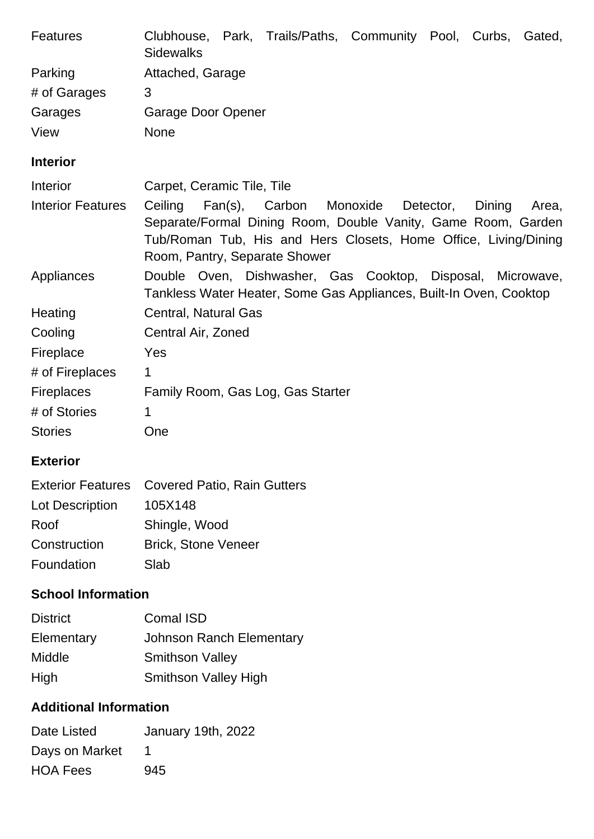| <b>Features</b>           | Clubhouse, Park, Trails/Paths, Community Pool, Curbs, Gated,<br><b>Sidewalks</b>                                                                                                                                                           |  |  |  |  |
|---------------------------|--------------------------------------------------------------------------------------------------------------------------------------------------------------------------------------------------------------------------------------------|--|--|--|--|
| Parking                   | Attached, Garage                                                                                                                                                                                                                           |  |  |  |  |
| # of Garages              | 3                                                                                                                                                                                                                                          |  |  |  |  |
| Garages                   | Garage Door Opener                                                                                                                                                                                                                         |  |  |  |  |
| View                      | <b>None</b>                                                                                                                                                                                                                                |  |  |  |  |
| <b>Interior</b>           |                                                                                                                                                                                                                                            |  |  |  |  |
| Interior                  | Carpet, Ceramic Tile, Tile                                                                                                                                                                                                                 |  |  |  |  |
| <b>Interior Features</b>  | Ceiling<br>Fan(s),<br>Carbon Monoxide<br>Detector,<br>Dining<br>Area,<br>Separate/Formal Dining Room, Double Vanity, Game Room, Garden<br>Tub/Roman Tub, His and Hers Closets, Home Office, Living/Dining<br>Room, Pantry, Separate Shower |  |  |  |  |
| Appliances                | Double Oven, Dishwasher, Gas Cooktop, Disposal, Microwave,<br>Tankless Water Heater, Some Gas Appliances, Built-In Oven, Cooktop                                                                                                           |  |  |  |  |
| Heating                   | <b>Central, Natural Gas</b>                                                                                                                                                                                                                |  |  |  |  |
| Cooling                   | Central Air, Zoned                                                                                                                                                                                                                         |  |  |  |  |
| Fireplace                 | Yes                                                                                                                                                                                                                                        |  |  |  |  |
| # of Fireplaces           | 1                                                                                                                                                                                                                                          |  |  |  |  |
| <b>Fireplaces</b>         | Family Room, Gas Log, Gas Starter                                                                                                                                                                                                          |  |  |  |  |
| # of Stories              | $\mathbf 1$                                                                                                                                                                                                                                |  |  |  |  |
| <b>Stories</b>            | One                                                                                                                                                                                                                                        |  |  |  |  |
| <b>Exterior</b>           |                                                                                                                                                                                                                                            |  |  |  |  |
| <b>Exterior Features</b>  | Covered Patio, Rain Gutters                                                                                                                                                                                                                |  |  |  |  |
| Lot Description           | 105X148                                                                                                                                                                                                                                    |  |  |  |  |
| Roof                      | Shingle, Wood                                                                                                                                                                                                                              |  |  |  |  |
| Construction              | <b>Brick, Stone Veneer</b>                                                                                                                                                                                                                 |  |  |  |  |
| Foundation                | Slab                                                                                                                                                                                                                                       |  |  |  |  |
| <b>School Information</b> |                                                                                                                                                                                                                                            |  |  |  |  |
| <b>District</b>           | <b>Comal ISD</b>                                                                                                                                                                                                                           |  |  |  |  |
| Elementary                | <b>Johnson Ranch Elementary</b>                                                                                                                                                                                                            |  |  |  |  |
| Middle                    | <b>Smithson Valley</b>                                                                                                                                                                                                                     |  |  |  |  |

High Smithson Valley High

## **Additional Information**

| Date Listed     | January 19th, 2022 |
|-----------------|--------------------|
| Days on Market  |                    |
| <b>HOA Fees</b> | 945                |